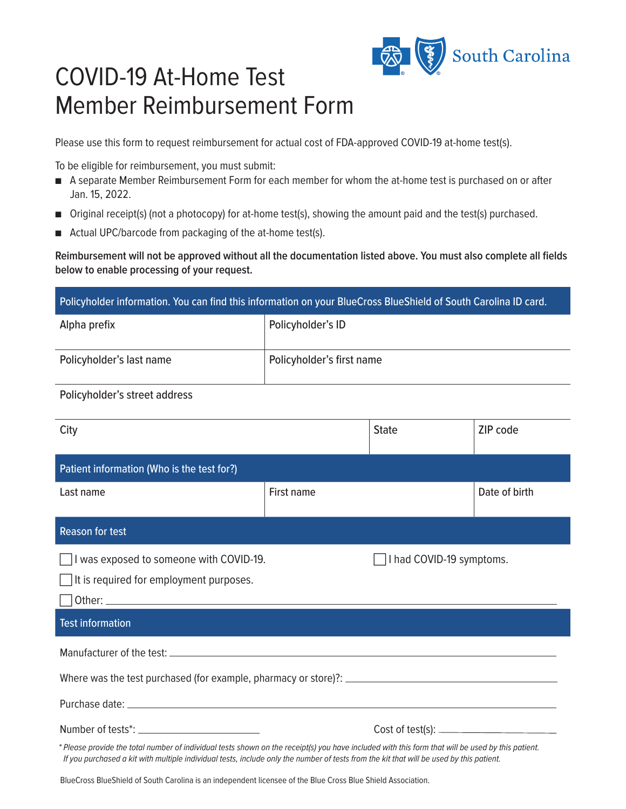

## COVID-19 At-Home Test Member Reimbursement Form

Please use this form to request reimbursement for actual cost of FDA-approved COVID-19 at-home test(s).

To be eligible for reimbursement, you must submit:

- <sup>n</sup> A separate Member Reimbursement Form for each member for whom the at-home test is purchased on or after Jan. 15, 2022.
- Original receipt(s) (not a photocopy) for at-home test(s), showing the amount paid and the test(s) purchased.
- Actual UPC/barcode from packaging of the at-home test(s).

**Reimbursement will not be approved without all the documentation listed above. You must also complete all fields below to enable processing of your request.**

| Policyholder information. You can find this information on your BlueCross BlueShield of South Carolina ID card. |                           |  |
|-----------------------------------------------------------------------------------------------------------------|---------------------------|--|
| Alpha prefix                                                                                                    | Policyholder's ID         |  |
| Policyholder's last name                                                                                        | Policyholder's first name |  |

## Policyholder's street address

| City                                                                                                                                              |            | <b>State</b>             | ZIP code      |
|---------------------------------------------------------------------------------------------------------------------------------------------------|------------|--------------------------|---------------|
| Patient information (Who is the test for?)                                                                                                        |            |                          |               |
| Last name                                                                                                                                         | First name |                          | Date of birth |
| <b>Reason for test</b>                                                                                                                            |            |                          |               |
| I was exposed to someone with COVID-19.<br>It is required for employment purposes.<br><b>Test information</b>                                     |            | I had COVID-19 symptoms. |               |
|                                                                                                                                                   |            |                          |               |
| * Please provide the total number of individual tests shown on the receipt(s) you have included with this form that will be used by this patient. |            |                          |               |
| If you purchased a kit with multiple individual tests, include only the number of tests from the kit that will be used by this patient.           |            |                          |               |

BlueCross BlueShield of South Carolina is an independent licensee of the Blue Cross Blue Shield Association.